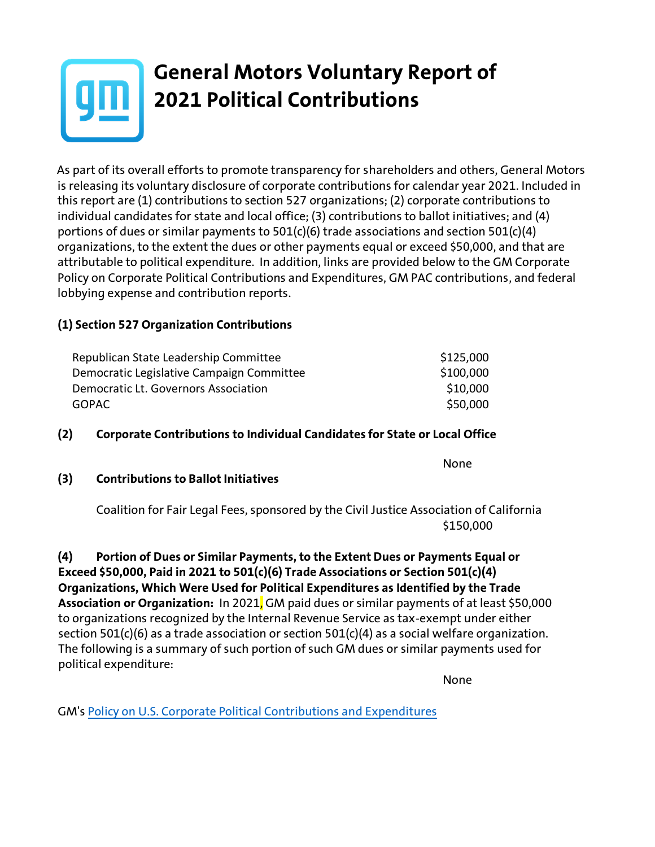

## **General Motors Voluntary Report of 2021 Political Contributions**

As part of its overall efforts to promote transparency for shareholders and others, General Motors is releasing its voluntary disclosure of corporate contributions for calendar year 2021. Included in this report are (1) contributions to section 527 organizations; (2) corporate contributions to individual candidates for state and local office; (3) contributions to ballot initiatives; and (4) portions of dues or similar payments to 501(c)(6) trade associations and section 501(c)(4) organizations, to the extent the dues or other payments equal or exceed \$50,000, and that are attributable to political expenditure. In addition, links are provided below to the GM Corporate Policy on Corporate Political Contributions and Expenditures, GM PAC contributions, and federal lobbying expense and contribution reports.

### **(1) Section 527 Organization Contributions**

| Republican State Leadership Committee     | \$125,000 |
|-------------------------------------------|-----------|
| Democratic Legislative Campaign Committee | \$100,000 |
| Democratic Lt. Governors Association      | \$10,000  |
| GOPAC.                                    | \$50,000  |

#### **(2) Corporate Contributions to Individual Candidates for State or Local Office**

**(3) Contributions to Ballot Initiatives**

Coalition for Fair Legal Fees, sponsored by the Civil Justice Association of California \$150,000

**(4) Portion of Dues or Similar Payments, to the Extent Dues or Payments Equal or Exceed \$50,000, Paid in 2021 to 501(c)(6) Trade Associations or Section 501(c)(4) Organizations, Which Were Used for Political Expenditures as Identified by the Trade Association or Organization:** In 2021, GM paid dues or similar payments of at least \$50,000 to organizations recognized by the Internal Revenue Service as tax-exempt under either section 501(c)(6) as a trade association or section 501(c)(4) as a social welfare organization. The following is a summary of such portion of such GM dues or similar payments used for political expenditure:

None

None

GM's [Policy on U.S. Corporate Political Contributions and Expenditures](https://investor.gm.com/static-files/d5b549b3-09d8-4bdd-b6b3-36050392bfe7)